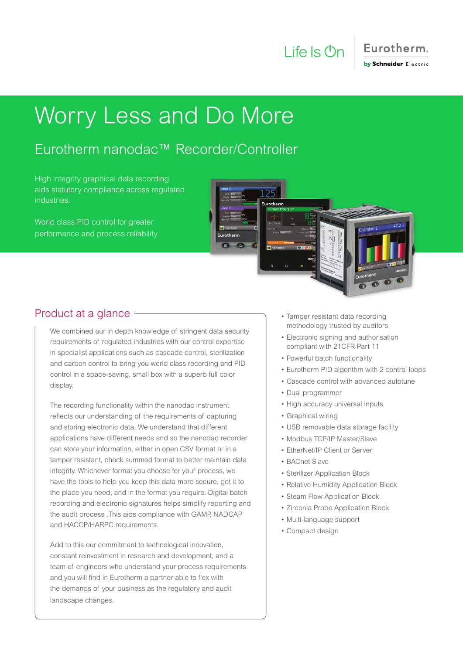

### Eurotherm. by Schneider Electric

## Worry Less and Do More

### Eurotherm nanodac™ Recorder/Controller

High integrity graphical data recording aids statutory compliance across regulated industries.

World class PID control for greater performance and process reliability



### Product at a glance

We combined our in depth knowledge of stringent data security requirements of regulated industries with our control expertise in specialist applications such as cascade control, sterilization and carbon control to bring you world class recording and PID control in a space-saving, small box with a superb full color display.

The recording functionality within the nanodac instrument reflects our understanding of the requirements of capturing and storing electronic data. We understand that different applications have different needs and so the nanodac recorder can store your information, either in open CSV format or in a tamper resistant, check summed format to better maintain data integrity. Whichever format you choose for your process, we have the tools to help you keep this data more secure, get it to the place you need, and in the format you require. Digital batch recording and electronic signatures helps simplify reporting and the audit process .This aids compliance with GAMP, NADCAP and HACCP/HARPC requirements.

Add to this our commitment to technological innovation, constant reinvestment in research and development, and a team of engineers who understand your process requirements and you will find in Eurotherm a partner able to flex with the demands of your business as the regulatory and audit landscape changes.

- Tamper resistant data recording methodology trusted by auditors
- Electronic signing and authorisation compliant with 21CFR Part 11
- Powerful batch functionality
- Eurotherm PID algorithm with 2 control loops
- Cascade control with advanced autotune
- Dual programmer
- High accuracy universal inputs
- Graphical wiring
- USB removable data storage facility
- Modbus TCP/IP Master/Slave
- EtherNet/IP Client or Server
- BACnet Slave
- Sterilizer Application Block
- Relative Humidity Application Block
- Steam Flow Application Block
- Zirconia Probe Application Block
- Multi-language support
- Compact design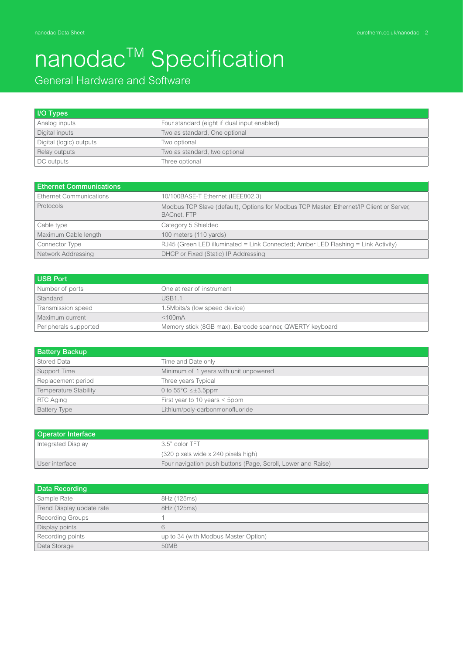### General Hardware and Software

| <b>I/O Types</b>        |                                             |
|-------------------------|---------------------------------------------|
| Analog inputs           | Four standard (eight if dual input enabled) |
| Digital inputs          | Two as standard, One optional               |
| Digital (logic) outputs | Two optional                                |
| Relay outputs           | Two as standard, two optional               |
| DC outputs              | Three optional                              |

| <b>Ethernet Communications</b> |                                                                                                                |  |  |
|--------------------------------|----------------------------------------------------------------------------------------------------------------|--|--|
| Ethernet Communications        | 10/100BASE-T Ethernet (IEEE802.3)                                                                              |  |  |
| Protocols                      | Modbus TCP Slave (default), Options for Modbus TCP Master, Ethernet/IP Client or Server,<br><b>BACnet, FTP</b> |  |  |
| Cable type                     | Category 5 Shielded                                                                                            |  |  |
| Maximum Cable length           | 100 meters (110 yards)                                                                                         |  |  |
| Connector Type                 | RJ45 (Green LED illuminated = Link Connected; Amber LED Flashing = Link Activity)                              |  |  |
| Network Addressing             | DHCP or Fixed (Static) IP Addressing                                                                           |  |  |

| <b>USB Port</b>       |                                                          |
|-----------------------|----------------------------------------------------------|
| Number of ports       | One at rear of instrument                                |
| Standard              | USB <sub>1</sub> 1                                       |
| Transmission speed    | 1.5Mbits/s (low speed device)                            |
| Maximum current       | $<$ 100 $mA$                                             |
| Peripherals supported | Memory stick (8GB max), Barcode scanner, QWERTY keyboard |

| <b>Battery Backup</b> |                                        |
|-----------------------|----------------------------------------|
| Stored Data           | Time and Date only                     |
| Support Time          | Minimum of 1 years with unit unpowered |
| Replacement period    | Three years Typical                    |
| Temperature Stability | 0 to $55^{\circ}$ C $\leq \pm 3.5$ ppm |
| RTC Aging             | First year to 10 years $\leq$ 5ppm     |
| <b>Battery Type</b>   | Lithium/poly-carbonmonofluoride        |

| <b>Operator Interface</b>            |                                                              |  |  |
|--------------------------------------|--------------------------------------------------------------|--|--|
| 3.5" color TFT<br>Integrated Display |                                                              |  |  |
|                                      | (320 pixels wide x 240 pixels high)                          |  |  |
| User interface                       | Four navigation push buttons (Page, Scroll, Lower and Raise) |  |  |

| Data Recording            |                                      |  |  |
|---------------------------|--------------------------------------|--|--|
| Sample Rate               | 8Hz (125ms)                          |  |  |
| Trend Display update rate | 8Hz (125ms)                          |  |  |
| <b>Recording Groups</b>   |                                      |  |  |
| Display points            | 6                                    |  |  |
| Recording points          | up to 34 (with Modbus Master Option) |  |  |
| Data Storage              | 50MB                                 |  |  |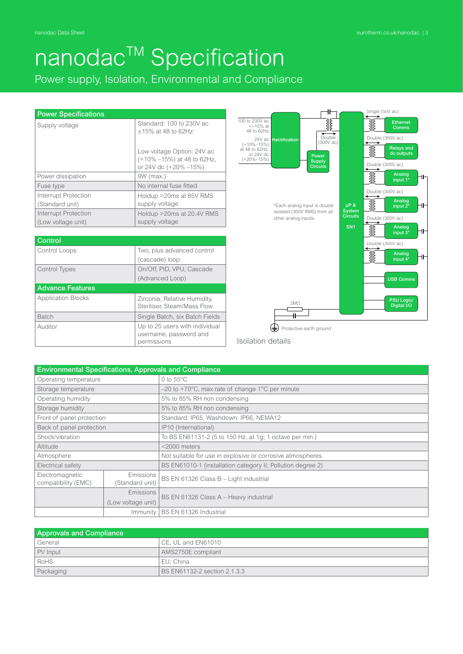Power supply, Isolation, Environmental and Compliance

#### Power Specifications

| Supply voltage                             | Standard: 100 to 230V ac<br>$+15\%$ at 48 to 62Hz                                 |  |
|--------------------------------------------|-----------------------------------------------------------------------------------|--|
|                                            | Low voltage Option: 24V ac<br>(+10% -15%) at 48 to 62Hz,<br>or 24V dc (+20% -15%) |  |
| Power dissipation                          | $9W$ (max.)                                                                       |  |
| Fuse type                                  | No internal fuse fitted                                                           |  |
| Interrupt Protection<br>(Standard unit)    | Holdup >20ms at 85V RMS<br>supply voltage                                         |  |
| Interrupt Protection<br>(Low voltage unit) | Holdup > 20ms at 20.4V RMS<br>supply voltage                                      |  |

| Control                   |                                                             |
|---------------------------|-------------------------------------------------------------|
| Control Loops             | Two, plus advanced control                                  |
|                           | (cascade) loop                                              |
| <b>Control Types</b>      | On/Off, PID, VPU, Cascade                                   |
|                           | (Advanced Loop)                                             |
| <b>Advance Features</b>   |                                                             |
|                           |                                                             |
| <b>Application Blocks</b> | Zirconia, Relative Humidity,<br>Steriliser, Steam/Mass Flow |
| <b>Batch</b>              | Single Batch, six Batch Fields                              |
| Auditor                   | Up to 25 users with individual                              |
|                           | username, password and<br>permissions                       |



Isolation details

| <b>Environmental Specifications, Approvals and Compliance</b> |                              |                                                             |  |
|---------------------------------------------------------------|------------------------------|-------------------------------------------------------------|--|
| Operating temperature                                         |                              | 0 to $55^{\circ}$ C                                         |  |
| Storage temperature                                           |                              | $-20$ to $+70^{\circ}$ C, max rate of change 1°C per minute |  |
| Operating humidity                                            |                              | 5% to 85% RH non condensing                                 |  |
| Storage humidity                                              |                              | 5% to 85% RH non condensing                                 |  |
| Front of panel protection                                     |                              | Standard: IP65, Washdown: IP66, NEMA12                      |  |
| Back of panel protection                                      |                              | IP10 (International)                                        |  |
| Shock/vibration                                               |                              | To BS EN61131-2 (5 to 150 Hz. at 1g; 1 octave per min.)     |  |
| Altitude                                                      |                              | $<$ 2000 meters                                             |  |
| Atmosphere                                                    |                              | Not suitable for use in explosive or corrosive atmospheres  |  |
| Electrical safety                                             |                              | BS EN61010-1 (installation category II; Pollution degree 2) |  |
| Electromagnetic<br>compatibility (EMC)                        | Emissions<br>(Standard unit) | BS EN 61326 Class B - Light industrial                      |  |
|                                                               | <b>Emissions</b>             |                                                             |  |
| (Low voltage unit)                                            |                              | BS EN 61326 Class A - Heavy industrial                      |  |
| Immunity                                                      |                              | BS EN 61326 Industrial                                      |  |

| <b>Approvals and Compliance</b> |                              |  |  |
|---------------------------------|------------------------------|--|--|
| General                         | CE. UL and EN61010           |  |  |
| PV Input                        | AMS2750E compliant           |  |  |
| l RoHS                          | EU: China                    |  |  |
| Packaging                       | BS EN61132-2 section 2.1.3.3 |  |  |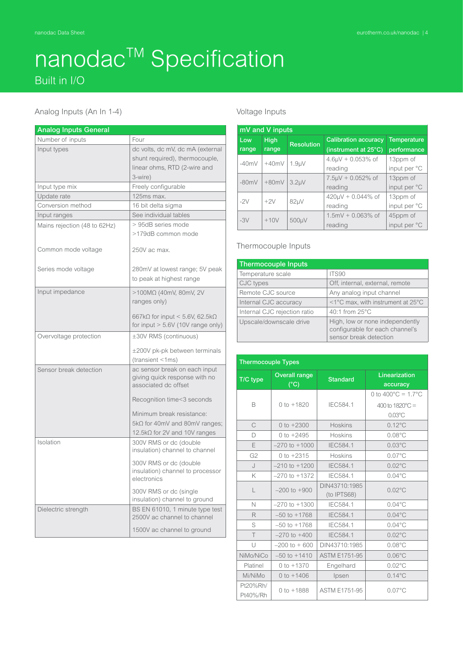## nanodac<sup>™</sup> Specification Built in I/O

#### Analog Inputs (An In 1-4)

| <b>Analog Inputs General</b> |                                                            |  |  |
|------------------------------|------------------------------------------------------------|--|--|
| Number of inputs             | Four                                                       |  |  |
| Input types                  | dc volts, dc mV, dc mA (external                           |  |  |
|                              | shunt required), thermocouple,                             |  |  |
|                              | linear ohms, RTD (2-wire and                               |  |  |
|                              | 3-wire)                                                    |  |  |
| Input type mix               | Freely configurable                                        |  |  |
| Update rate                  | 125ms max.                                                 |  |  |
| Conversion method            | 16 bit delta sigma                                         |  |  |
| Input ranges                 | See individual tables                                      |  |  |
| Mains rejection (48 to 62Hz) | > 95dB series mode                                         |  |  |
|                              | >179dB common mode                                         |  |  |
|                              |                                                            |  |  |
| Common mode voltage          | 250V ac max.                                               |  |  |
|                              |                                                            |  |  |
| Series mode voltage          | 280mV at lowest range; 5V peak                             |  |  |
|                              | to peak at highest range                                   |  |  |
| Input impedance              | $>$ 100MΩ (40mV, 80mV, 2V                                  |  |  |
|                              | ranges only)                                               |  |  |
|                              |                                                            |  |  |
|                              | 667k $\Omega$ for input < 5.6V, 62.5k $\Omega$             |  |  |
|                              | for input $> 5.6V$ (10V range only)                        |  |  |
| Overvoltage protection       | ±30V RMS (continuous)                                      |  |  |
|                              | $\pm 200V$ pk-pk between terminals                         |  |  |
|                              | (transient <1ms)                                           |  |  |
| Sensor break detection       | ac sensor break on each input                              |  |  |
|                              | giving quick response with no                              |  |  |
|                              | associated dc offset                                       |  |  |
|                              | Recognition time<3 seconds                                 |  |  |
|                              | Minimum break resistance:                                  |  |  |
|                              | $5k\Omega$ for 40mV and 80mV ranges;                       |  |  |
|                              | 12.5kΩ for 2V and 10V ranges                               |  |  |
| Isolation                    | 300V RMS or dc (double                                     |  |  |
|                              | insulation) channel to channel                             |  |  |
|                              |                                                            |  |  |
|                              | 300V RMS or dc (double<br>insulation) channel to processor |  |  |
|                              | electronics                                                |  |  |
|                              | 300V RMS or dc (single                                     |  |  |
|                              | insulation) channel to ground                              |  |  |
| Dielectric strength          | BS EN 61010, 1 minute type test                            |  |  |
|                              | 2500V ac channel to channel                                |  |  |
|                              | 1500V ac channel to ground                                 |  |  |

#### Voltage Inputs

| mV and V inputs |                    |                          |                             |                    |
|-----------------|--------------------|--------------------------|-----------------------------|--------------------|
| Low             | <b>High</b>        | <b>Resolution</b>        | <b>Calibration accuracy</b> | <b>Temperature</b> |
| range           | range              |                          | (instrument at 25°C)        | performance        |
| $-40mV$         | $+40mV$            |                          | $4.6 \mu V + 0.053\%$ of    | 13ppm of           |
|                 | 1.9 <sub>µ</sub> V | reading                  | input per °C                |                    |
| $-80mV$         | $+80mV$            | 3.2 <sub>µ</sub> V       | $7.5 \mu V + 0.052\%$ of    | 13ppm of           |
|                 |                    | reading                  | input per °C                |                    |
| $+2V$<br>$-2V$  | $82\mu$ V          | $420 \mu V + 0.044\%$ of | 13ppm of                    |                    |
|                 |                    | reading                  | input per °C                |                    |
| $-3V$           | $+10V$             | 500µV                    | $1.5mV + 0.063\%$ of        | 45ppm of           |
|                 |                    | reading                  | input per °C                |                    |

#### Thermocouple Inputs

| <b>Thermocouple Inputs</b>   |                                                                                              |
|------------------------------|----------------------------------------------------------------------------------------------|
| Temperature scale            | ITS90                                                                                        |
| CJC types                    | Off, internal, external, remote                                                              |
| Remote CJC source            | Any analog input channel                                                                     |
| Internal CJC accuracy        | <1°C max, with instrument at 25°C                                                            |
| Internal CJC rejection ratio | 40:1 from 25°C                                                                               |
| Upscale/downscale drive      | High, low or none independently<br>configurable for each channel's<br>sensor break detection |

| <b>Thermocouple Types</b> |                                       |                              |                                                                                          |
|---------------------------|---------------------------------------|------------------------------|------------------------------------------------------------------------------------------|
| T/C type                  | <b>Overall range</b><br>$(^{\circ}C)$ | <b>Standard</b>              | Linearization<br>accuracy                                                                |
| B                         | $0 to +1820$                          | IEC584.1                     | 0 to $400^{\circ}$ C = 1.7 $^{\circ}$ C<br>400 to $1820^{\circ}$ C =<br>$0.03^{\circ}$ C |
| C                         | 0 to $+2300$                          | <b>Hoskins</b>               | $0.12^{\circ}$ C                                                                         |
| D                         | 0 to $+2495$                          | <b>Hoskins</b>               | $0.08^{\circ}$ C                                                                         |
| E                         | $-270$ to $+1000$                     | IEC584.1                     | $0.03^{\circ}$ C                                                                         |
| G <sub>2</sub>            | 0 to $+2315$                          | <b>Hoskins</b>               | $0.07^{\circ}$ C                                                                         |
| $\cup$                    | $-210$ to $+1200$                     | IEC584.1                     | $0.02^{\circ}$ C                                                                         |
| K                         | $-270$ to $+1372$                     | IEC584.1                     | $0.04^{\circ}$ C                                                                         |
| L                         | $-200$ to $+900$                      | DIN43710:1985<br>(to IPTS68) | $0.02^{\circ}$ C                                                                         |
| $\mathbb N$               | $-270$ to $+1300$                     | IEC584.1                     | $0.04^{\circ}$ C                                                                         |
| R                         | $-50$ to $+1768$                      | <b>IEC584.1</b>              | $0.04^{\circ}$ C                                                                         |
| S                         | $-50$ to $+1768$                      | IEC584.1                     | $0.04$ °C                                                                                |
| $\top$                    | $-270$ to $+400$                      | IEC584.1                     | $0.02^{\circ}$ C                                                                         |
| U                         | $-200$ to $+600$                      | DIN43710:1985                | $0.08^{\circ}$ C                                                                         |
| NiMo/NiCo                 | $-50$ to $+1410$                      | <b>ASTM E1751-95</b>         | $0.06^{\circ}$ C                                                                         |
| Platinel                  | $0 to +1370$                          | Engelhard                    | $0.02^{\circ}$ C                                                                         |
| Mi/NiMo                   | $0 to +1406$                          | Ipsen                        | $0.14^{\circ}$ C                                                                         |
| Pt20%Rh/<br>Pt40%/Rh      | $0$ to $+1888$                        | <b>ASTM E1751-95</b>         | $0.07^{\circ}$ C                                                                         |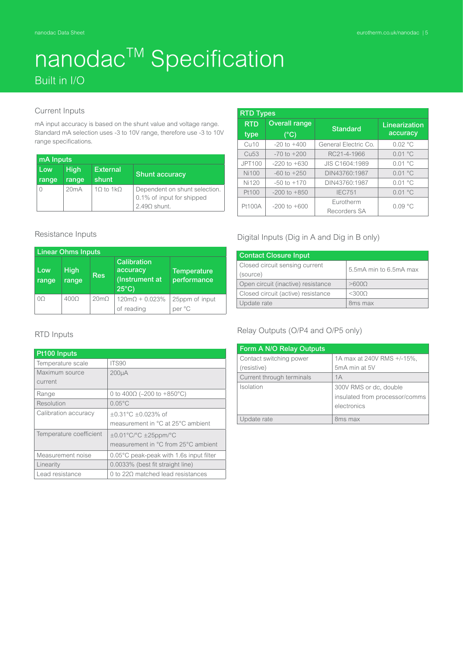### nanodac<sup>™</sup> Specification Built in I/O

#### Current Inputs

mA input accuracy is based on the shunt value and voltage range. Standard mA selection uses -3 to 10V range, therefore use -3 to 10V range specifications.

| mA Inputs |             |                 |                                                                              |
|-----------|-------------|-----------------|------------------------------------------------------------------------------|
| Low       | <b>High</b> | <b>External</b> | <b>Shunt accuracy</b>                                                        |
| range     | range       | shunt           |                                                                              |
|           | 20mA        | $10$ to $1k$    | Dependent on shunt selection.<br>0.1% of input for shipped<br>$2.490$ shunt. |

| <b>RTD Types</b>           |                                       |                      |                           |
|----------------------------|---------------------------------------|----------------------|---------------------------|
| <b>RTD</b><br>type         | <b>Overall range</b><br>$(^{\circ}C)$ | <b>Standard</b>      | Linearization<br>accuracy |
|                            |                                       |                      |                           |
| Cu10                       | $-20$ to $+400$                       | General Electric Co. | 0.02 °C                   |
| <b>Cu<sub>53</sub></b>     | $-70$ to $+200$                       | RC21-4-1966          | 0.01 °C                   |
| JPT100                     | $-220$ to $+630$                      | JIS C1604:1989       | 0.01 °C                   |
| Ni100                      | $-60$ to $+250$                       | DIN43760:1987        | 0.01 °C                   |
| <b>Ni120</b>               | $-50$ to $+170$                       | DIN43760:1987        | 0.01 °C                   |
| Pt100                      | $-200$ to $+850$                      | <b>IEC751</b>        | 0.01 °C                   |
| Pt100A<br>$-200$ to $+600$ | Eurotherm                             | 0.09 °C              |                           |
|                            |                                       | Recorders SA         |                           |

#### Resistance Inputs

| <b>Linear Ohms Inputs</b> |                      |               |                                                                     |                                   |
|---------------------------|----------------------|---------------|---------------------------------------------------------------------|-----------------------------------|
| 'Low<br>range             | <b>High</b><br>range | <b>Res</b>    | <b>Calibration</b><br>accuracy<br>(Instrument at<br>$25^{\circ}$ C) | <b>Temperature</b><br>performance |
| 0O                        | 400Q                 | $20 \text{m}$ | $120m\Omega + 0.023\%$<br>of reading                                | 25ppm of input<br>per °C          |

#### RTD Inputs

| Pt100 Inputs            |                                         |
|-------------------------|-----------------------------------------|
| Temperature scale       | ITS90                                   |
| Maximum source          | 200 <sub>µ</sub> A                      |
| current                 |                                         |
| Range                   | 0 to 400 $\Omega$ (-200 to +850°C)      |
| Resolution              | $0.05^{\circ}$ C                        |
| Calibration accuracy    | $+0.31^{\circ}$ C +0.023% of            |
|                         | measurement in °C at 25°C ambient       |
| Temperature coefficient | $\pm 0.01^{\circ}$ C/°C $\pm 25$ ppm/°C |
|                         | measurement in °C from 25°C ambient     |
| Measurement noise       | 0.05°C peak-peak with 1.6s input filter |
| Linearity               | 0.0033% (best fit straight line)        |
| Lead resistance         | 0 to 220 matched lead resistances       |

#### Digital Inputs (Dig in A and Dig in B only)

| <b>Contact Closure Input</b>       |                        |
|------------------------------------|------------------------|
| Closed circuit sensing current     | 5.5mA min to 6.5mA max |
| (source)                           |                        |
| Open circuit (inactive) resistance | >6000                  |
| Closed circuit (active) resistance | $<$ 3000               |
| Update rate                        | 8 <sub>ms</sub> max    |

#### Relay Outputs (O/P4 and O/P5 only)

| Form A N/O Relay Outputs  |                                |
|---------------------------|--------------------------------|
| Contact switching power   | 1A max at 240V RMS +/-15%,     |
| (resistive)               | 5mA min at 5V                  |
| Current through terminals | 1A                             |
| Isolation                 | 300V RMS or dc, double         |
|                           | insulated from processor/comms |
|                           | electronics                    |
| Update rate               | 8ms max                        |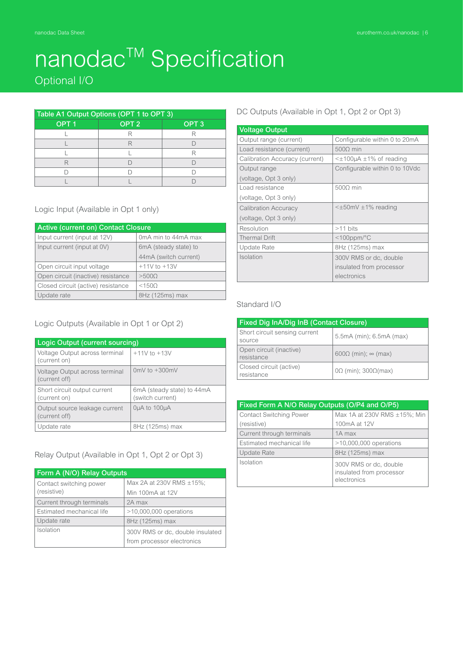Optional I/O

| Table A1 Output Options (OPT 1 to OPT 3) |                  |                  |  |
|------------------------------------------|------------------|------------------|--|
| OPT <sub>1</sub>                         | OPT <sub>2</sub> | OPT <sub>3</sub> |  |
|                                          |                  |                  |  |
|                                          |                  |                  |  |
|                                          |                  |                  |  |
|                                          |                  |                  |  |
|                                          |                  |                  |  |
|                                          |                  |                  |  |

#### Logic Input (Available in Opt 1 only)

| Active (current on) Contact Closure |                              |  |
|-------------------------------------|------------------------------|--|
| Input current (input at 12V)        | 0mA min to 44mA max          |  |
| Input current (input at 0V)         | 6mA (steady state) to        |  |
|                                     | 44mA (switch current)        |  |
| Open circuit input voltage          | $+11V$ to $+13V$             |  |
| Open circuit (inactive) resistance  | >5000                        |  |
| Closed circuit (active) resistance  | <150 <omega< td=""></omega<> |  |
| Update rate                         | 8Hz (125ms) max              |  |

#### Logic Outputs (Available in Opt 1 or Opt 2)

| Logic Output (current sourcing)                 |                                                |
|-------------------------------------------------|------------------------------------------------|
| Voltage Output across terminal<br>(current on)  | $+11V$ to $+13V$                               |
| Voltage Output across terminal<br>(current off) | 0mV to $+300$ mV                               |
| Short circuit output current<br>(current on)    | 6mA (steady state) to 44mA<br>(switch current) |
| Output source leakage current<br>(current off)  | OuA to 100uA                                   |
| Update rate                                     | 8Hz (125ms) max                                |

#### Relay Output (Available in Opt 1, Opt 2 or Opt 3)

| Form A (N/O) Relay Outputs |                                  |  |
|----------------------------|----------------------------------|--|
| Contact switching power    | Max 2A at 230V RMS ±15%;         |  |
| (resistive)                | Min 100mA at 12V                 |  |
| Current through terminals  | 2A max                           |  |
| Estimated mechanical life  | $>10,000,000$ operations         |  |
| Update rate                | 8Hz (125ms) max                  |  |
| Isolation                  | 300V RMS or dc, double insulated |  |
|                            | from processor electronics       |  |

#### DC Outputs (Available in Opt 1, Opt 2 or Opt 3)

| <b>Voltage Output</b>          |                                        |
|--------------------------------|----------------------------------------|
| Output range (current)         | Configurable within 0 to 20mA          |
| Load resistance (current)      | 5000 min                               |
| Calibration Accuracy (current) | $\leq \pm 100$ µA $\pm 1\%$ of reading |
| Output range                   | Configurable within 0 to 10Vdc         |
| (voltage, Opt 3 only)          |                                        |
| Load resistance                | 5000 min                               |
| (voltage, Opt 3 only)          |                                        |
| <b>Calibration Accuracy</b>    | $\leq \pm 50$ mV $\pm 1\%$ reading     |
| (voltage, Opt 3 only)          |                                        |
| Resolution                     | $>11$ bits                             |
| <b>Thermal Drift</b>           | $<$ 100ppm/ $\degree$ C                |
| Update Rate                    | 8Hz (125ms) max                        |
| Isolation                      | 300V RMS or dc, double                 |
|                                | insulated from processor               |
|                                | electronics                            |

#### Standard I/O

| <b>Fixed Dig InA/Dig InB (Contact Closure)</b> |                                    |  |  |  |  |
|------------------------------------------------|------------------------------------|--|--|--|--|
| Short circuit sensing current<br>source        | 5.5mA (min); 6.5mA (max)           |  |  |  |  |
| Open circuit (inactive)<br>resistance          | $600\Omega$ (min); $\infty$ (max)  |  |  |  |  |
| Closed circuit (active)<br>resistance          | $0\Omega$ (min); $300\Omega$ (max) |  |  |  |  |

| Fixed Form A N/O Relay Outputs (O/P4 and O/P5) |                                                                   |  |  |  |  |  |
|------------------------------------------------|-------------------------------------------------------------------|--|--|--|--|--|
| <b>Contact Switching Power</b>                 | Max 1A at 230V RMS ±15%; Min                                      |  |  |  |  |  |
| (resistive)                                    | 100mA at 12V                                                      |  |  |  |  |  |
| Current through terminals                      | 1A max                                                            |  |  |  |  |  |
| Estimated mechanical life                      | $>10,000,000$ operations                                          |  |  |  |  |  |
| <b>Update Rate</b>                             | 8Hz (125ms) max                                                   |  |  |  |  |  |
| Isolation                                      | 300V RMS or dc, double<br>insulated from processor<br>electronics |  |  |  |  |  |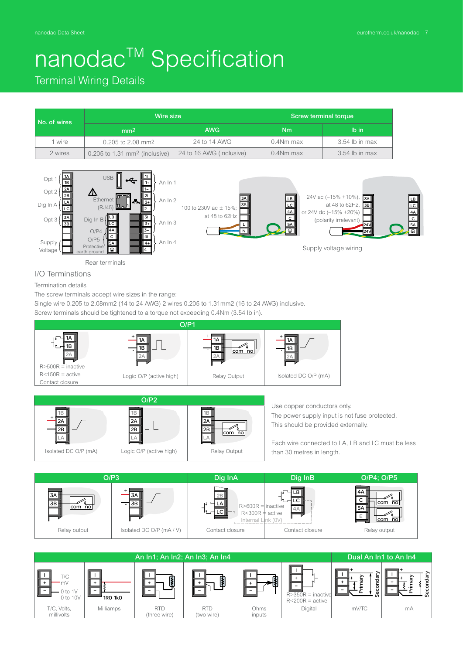Terminal Wiring Details

| No. of wires | Wire size                                   |                          | Screw terminal torque |                  |  |
|--------------|---------------------------------------------|--------------------------|-----------------------|------------------|--|
|              | mm <sup>2</sup>                             | <b>AWG</b>               | Nm                    | lb in            |  |
| 1 wire       | 0.205 to 2.08 mm <sup>2</sup>               | 24 to 14 AWG             | 0.4Nm max             | 3.54 lb in max   |  |
| 2 wires      | $0.205$ to 1.31 mm <sup>2</sup> (inclusive) | 24 to 16 AWG (inclusive) | 0.4Nm max             | $3.54$ lb in max |  |



I/O Terminations Termination details

The screw terminals accept wire sizes in the range:

Single wire 0.205 to 2.08mm2 (14 to 24 AWG) 2 wires 0.205 to 1.31mm2 (16 to 24 AWG) inclusive.

Screw terminals should be tightened to a torque not exceeding 0.4Nm (3.54 lb in).







| An In1; An In2; An In3; An In4 |                |               |            | Dual An In1 to An In4 |                                              |       |               |
|--------------------------------|----------------|---------------|------------|-----------------------|----------------------------------------------|-------|---------------|
| T/C<br>mV<br>to 1V<br>0 to 10V | <b>1RO 1kO</b> | $\ddot{\ast}$ | ₿          |                       | $R > 350R$ = inactive<br>$R < 200R$ = active | ເບ    | ਨ<br>န္ၿ<br>Ø |
| T/C, Volts,                    | Milliamps      | <b>RTD</b>    | <b>RTD</b> | Ohms                  | Digital                                      | mV/TC | mA            |
| millivolts                     |                | (three wire)  | (two wire) | inputs                |                                              |       |               |